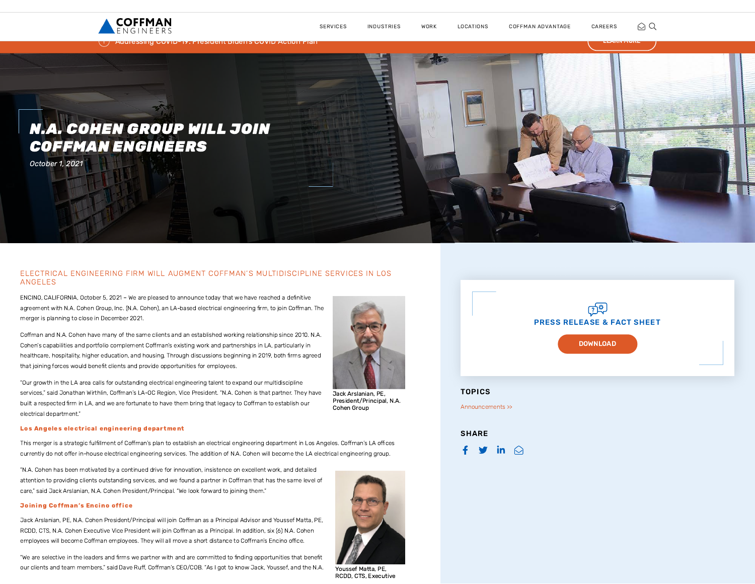



## ELECTRICAL ENGINEERING FIRM WILL AUGMENT COFFMAN'S MULTIDISCIPLINE SERVICES IN LOS ANGELES

ENCINO, CALIFORNIA, October 5, 2021 – We are pleased to announce today that we have reached a definitive agreement with N.A. Cohen Group, Inc. (N.A. Cohen), an LA-based electrical engineering firm, to join Coffman. The merger is planning to close in December 2021.

Coffman and N.A. Cohen have many of the same clients and an established working relationship since 2010. N.A. Cohen's capabilities and portfolio complement Coffman's existing work and partnerships in LA, particularly in healthcare, hospitality, higher education, and housing. Through discussions beginning in 2019, both firms agreed that joining forces would benefit clients and provide opportunities for employees.

"Our growth in the LA area calls for outstanding electrical engineering talent to expand our multidiscipline services," said Jonathan Wirthlin, Coffman's LA-OC Region, Vice President. "N.A. Cohen is that partner. They have built a respected firm in LA, and we are fortunate to have them bring that legacy to Coffman to establish our electrical department."



Jack Arslanian, PE, President/Principal, N.A. Cohen Group

## Los Angeles electrical engineering department

This merger is a strategic fulfillment of Coffman's plan to establish an electrical engineering department in Los Angeles. Coffman's LA offices currently do not offer in-house electrical engineering services. The addition of N.A. Cohen will become the LA electrical engineering group.

"N.A. Cohen has been motivated by a continued drive for innovation, insistence on excellent work, and detailed attention to providing clients outstanding services, and we found a partner in Coffman that has the same level of care," said Jack Arslanian, N.A. Cohen President/Principal. "We look forward to joining them."

## **Joining Coffman's Encino office**

Jack Arslanian, PE, N.A. Cohen President/Principal will join Coffman as a Principal Advisor and Youssef Matta, PE, RCDD, CTS, N.A. Cohen Executive Vice President will join Coffman as a Principal. In addition, six (6) N.A. Cohen employees will become Coffman employees. They will all move a short distance to Coffman's Encino office.

"We are selective in the leaders and firms we partner with and are committed to finding opportunities that benefit our clients and team members," said Dave Ruff, Coffman's CEO/COB. "As I got to know Jack, Youssef, and the N.A.

Youssef Matta, PE, RCDD, CTS, Executive



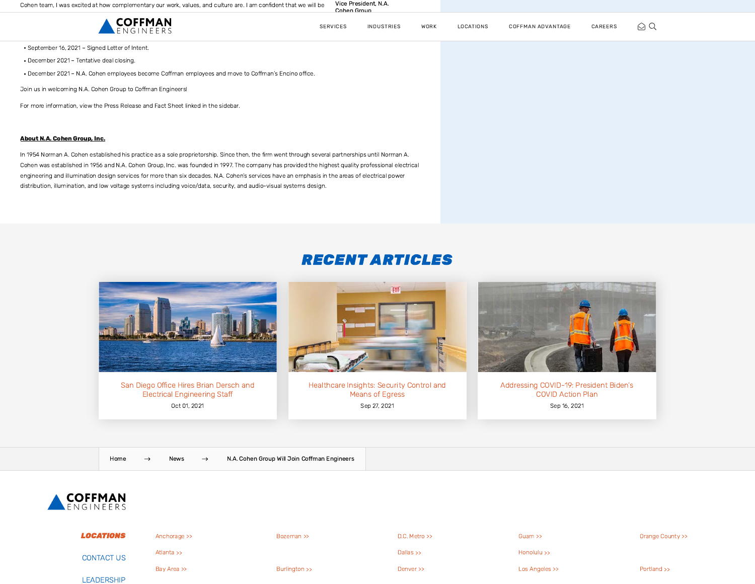Vice President, N.A. Cohen Group

| <b>COFFMAN</b>                                                                                       | <b>SERVICES</b> | INDUSTRIES | WORK | LOCATIONS | COFFMAN ADVANTAGE | CAREERS | $\bigcirc$ Q |
|------------------------------------------------------------------------------------------------------|-----------------|------------|------|-----------|-------------------|---------|--------------|
| • September 16, 2021 - Signed Letter of Intent.                                                      |                 |            |      |           |                   |         |              |
| • December 2021 - Tentative deal closing.                                                            |                 |            |      |           |                   |         |              |
| - December 2021 - N.A. Cohen employees become Coffman employees and move to Coffman's Encino office. |                 |            |      |           |                   |         |              |
| Join us in welcoming N.A. Cohen Group to Coffman Engineers!                                          |                 |            |      |           |                   |         |              |
| For more information, view the Press Release and Fact Sheet linked in the sidebar.                   |                 |            |      |           |                   |         |              |
|                                                                                                      |                 |            |      |           |                   |         |              |
| About N.A. Cohen Group, Inc.                                                                         |                 |            |      |           |                   |         |              |

In 1954 Norman A. Cohen established his practice as a sole proprietorship. Since then, the firm went through several partnerships until Norman A. Cohen was established in 1956 and N.A. Cohen Group, Inc. was founded in 1997. The company has provided the highest quality professional electrical engineering and illumination design services for more than six decades. N.A. Cohen's services have an emphasis in the areas of electrical power distribution, illumination, and low voltage systems including voice/data, security, and audio-visual systems design.

## RECENT ARTICLES



[San Diego Office Hires Brian Dersch and](https://www.coffman.com/news/san-diego-office-hires-brian-dersch/) Electrical Engineering Staff Oct 01, 2021



[Healthcare Insights: Security Control and](https://www.coffman.com/news/healthcare-insights-security-control-and-means-of-egress/) Means of Egress Sep 27, 2021



[Addressing COVID-19: President Biden's](https://www.coffman.com/news/president-bidens-covid-action-plan/) COVID Action Plan Sep 16, 2021

[Home](https://www.coffman.com/) → [News](https://www.coffman.com/news/) → [N.A. Cohen Group Will Join Coffman Engineers](https://www.coffman.com/?p=7291)



| LOCATIONS         | Anchorage >> | Bozeman >>    | $D.C.$ Metro $\gg$ | Guam $\gg$     | Orange County >> |
|-------------------|--------------|---------------|--------------------|----------------|------------------|
| <b>CONTACT US</b> | Atlanta >>   |               | Dallas $\gg$       | Honolulu >>    |                  |
| LEADERSHIP        | Bay Area >>  | Burlington >> | Denver >>          | Los Angeles >> | Portland >>      |